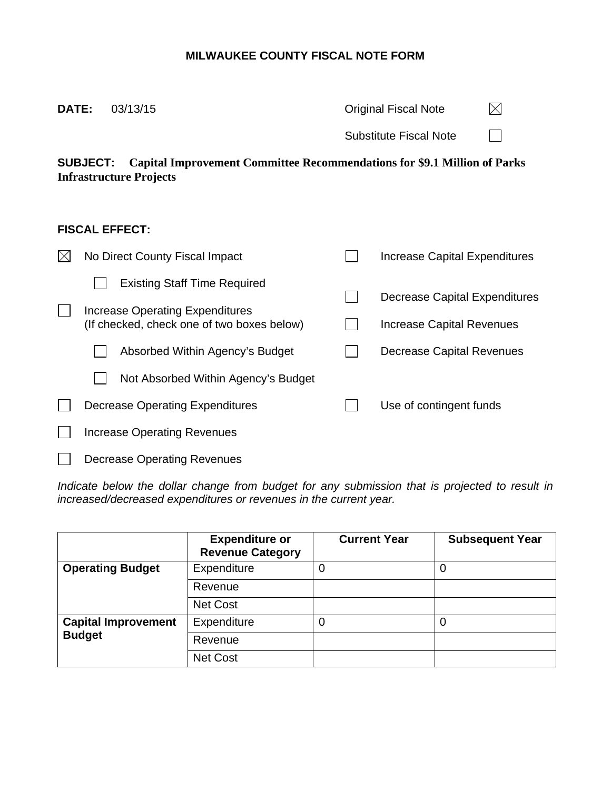## **MILWAUKEE COUNTY FISCAL NOTE FORM**

| DATE:                 | 03/13/15                                                                                                                             |  | <b>Original Fiscal Note</b>   |  |  |  |  |
|-----------------------|--------------------------------------------------------------------------------------------------------------------------------------|--|-------------------------------|--|--|--|--|
|                       |                                                                                                                                      |  | Substitute Fiscal Note        |  |  |  |  |
|                       | <b>Capital Improvement Committee Recommendations for \$9.1 Million of Parks</b><br><b>SUBJECT:</b><br><b>Infrastructure Projects</b> |  |                               |  |  |  |  |
| <b>FISCAL EFFECT:</b> |                                                                                                                                      |  |                               |  |  |  |  |
|                       | No Direct County Fiscal Impact                                                                                                       |  | Increase Capital Expenditures |  |  |  |  |
|                       | <b>Existing Staff Time Required</b>                                                                                                  |  |                               |  |  |  |  |
|                       | Increase Operating Expenditures<br>(If checked, check one of two boxes below)                                                        |  | Decrease Capital Expenditures |  |  |  |  |
|                       |                                                                                                                                      |  | Increase Capital Revenues     |  |  |  |  |
|                       | Absorbed Within Agency's Budget                                                                                                      |  | Decrease Capital Revenues     |  |  |  |  |
|                       | Not Absorbed Within Agency's Budget                                                                                                  |  |                               |  |  |  |  |

| <b>Decrease Operating Expenditures</b> | Use of contingent funds |
|----------------------------------------|-------------------------|
| <b>Increase Operating Revenues</b>     |                         |
| <b>Decrease Operating Revenues</b>     |                         |

Indicate below the dollar change from budget for any submission that is projected to result in *increased/decreased expenditures or revenues in the current year.* 

|                            | <b>Expenditure or</b><br><b>Revenue Category</b> | <b>Current Year</b> | <b>Subsequent Year</b> |
|----------------------------|--------------------------------------------------|---------------------|------------------------|
| <b>Operating Budget</b>    | Expenditure                                      | 0                   |                        |
|                            | Revenue                                          |                     |                        |
|                            | <b>Net Cost</b>                                  |                     |                        |
| <b>Capital Improvement</b> | Expenditure                                      | 0                   |                        |
| <b>Budget</b>              | Revenue                                          |                     |                        |
|                            | Net Cost                                         |                     |                        |